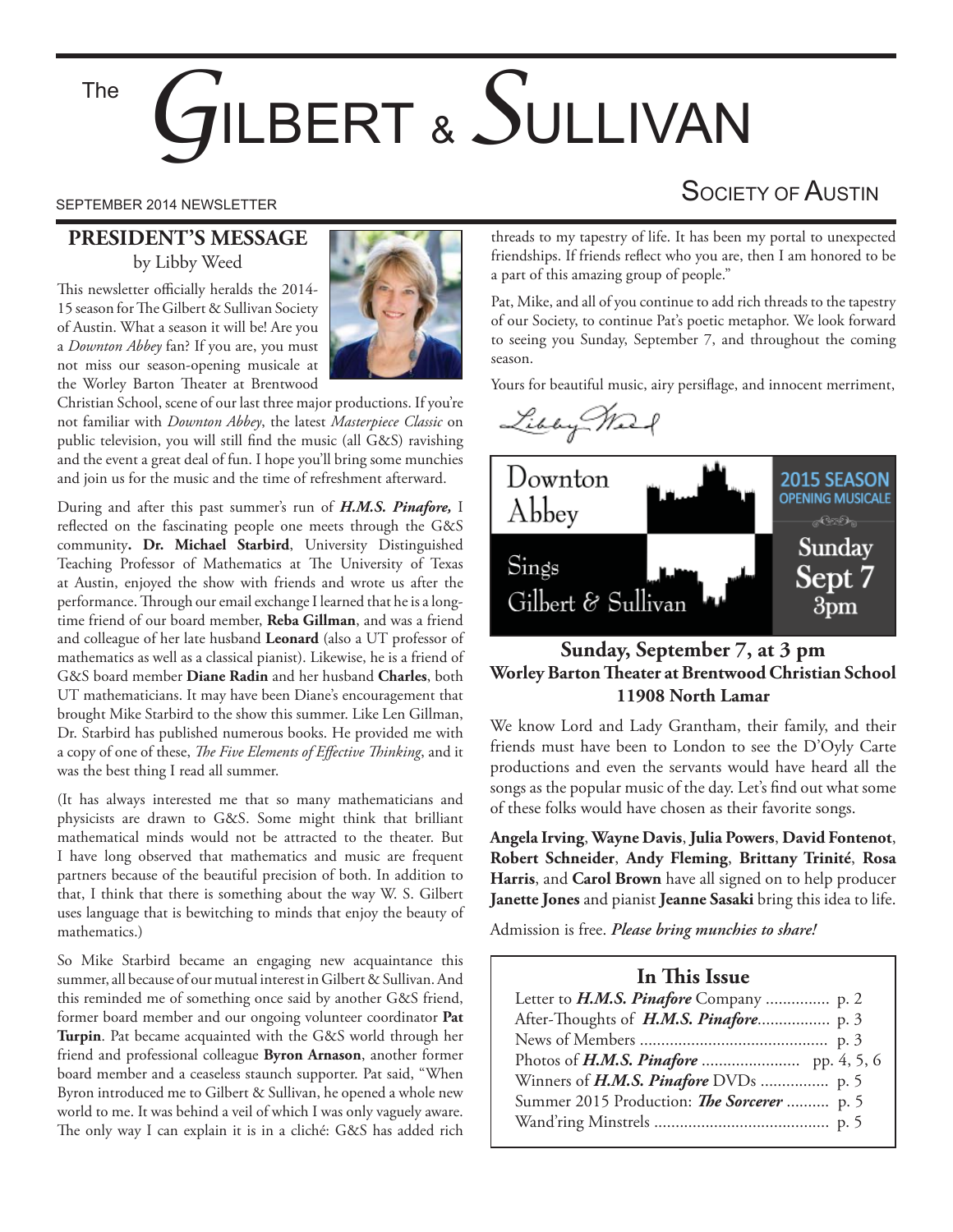The

# *G*ILBERT & *S*ULLIVAN

#### **PRESIDENT'S MESSAGE** by Libby Weed

This newsletter officially heralds the 2014-15 season for The Gilbert & Sullivan Society of Austin. What a season it will be! Are you a *Downton Abbey* fan? If you are, you must not miss our season-opening musicale at the Worley Barton Theater at Brentwood



Christian School, scene of our last three major productions. If you're not familiar with *Downton Abbey*, the latest *Masterpiece Classic* on public television, you will still find the music (all G&S) ravishing and the event a great deal of fun. I hope you'll bring some munchies and join us for the music and the time of refreshment afterward.

During and after this past summer's run of *H.M.S. Pinafore,* I reflected on the fascinating people one meets through the G&S community**. Dr. Michael Starbird**, University Distinguished Teaching Professor of Mathematics at The University of Texas at Austin, enjoyed the show with friends and wrote us after the performance. Through our email exchange I learned that he is a longtime friend of our board member, **Reba Gillman**, and was a friend and colleague of her late husband **Leonard** (also a UT professor of mathematics as well as a classical pianist). Likewise, he is a friend of G&S board member **Diane Radin** and her husband **Charles**, both UT mathematicians. It may have been Diane's encouragement that brought Mike Starbird to the show this summer. Like Len Gillman, Dr. Starbird has published numerous books. He provided me with a copy of one of these, *The Five Elements of Effective Thinking*, and it was the best thing I read all summer.

(It has always interested me that so many mathematicians and physicists are drawn to G&S. Some might think that brilliant mathematical minds would not be attracted to the theater. But I have long observed that mathematics and music are frequent partners because of the beautiful precision of both. In addition to that, I think that there is something about the way W. S. Gilbert uses language that is bewitching to minds that enjoy the beauty of mathematics.)

So Mike Starbird became an engaging new acquaintance this summer, all because of our mutual interest in Gilbert & Sullivan. And this reminded me of something once said by another G&S friend, former board member and our ongoing volunteer coordinator **Pat Turpin**. Pat became acquainted with the G&S world through her friend and professional colleague **Byron Arnason**, another former board member and a ceaseless staunch supporter. Pat said, "When Byron introduced me to Gilbert & Sullivan, he opened a whole new world to me. It was behind a veil of which I was only vaguely aware. The only way I can explain it is in a cliché: G&S has added rich

### SEPTEMBER 2014 NEWSLETTER SEPTEMBER 2014 NEWSLETTER

threads to my tapestry of life. It has been my portal to unexpected friendships. If friends reflect who you are, then I am honored to be a part of this amazing group of people."

Pat, Mike, and all of you continue to add rich threads to the tapestry of our Society, to continue Pat's poetic metaphor. We look forward to seeing you Sunday, September 7, and throughout the coming season.

Yours for beautiful music, airy persiflage, and innocent merriment,





#### **Sunday, September 7, at 3 pm Worley Barton Theater at Brentwood Christian School 11908 North Lamar**

We know Lord and Lady Grantham, their family, and their friends must have been to London to see the D'Oyly Carte productions and even the servants would have heard all the songs as the popular music of the day. Let's find out what some of these folks would have chosen as their favorite songs.

**Angela Irving**, **Wayne Davis**, **Julia Powers**, **David Fontenot**, **Robert Schneider**, **Andy Fleming**, **Brittany Trinité**, **Rosa Harris**, and **Carol Brown** have all signed on to help producer **Janette Jones** and pianist **Jeanne Sasaki** bring this idea to life.

Admission is free. *Please bring munchies to share!*

#### **In This Issue**

| Letter to <i>H.M.S. Pinafore</i> Company  p. 2 |  |
|------------------------------------------------|--|
|                                                |  |
|                                                |  |
|                                                |  |
|                                                |  |
| Summer 2015 Production: The Sorcerer  p. 5     |  |
|                                                |  |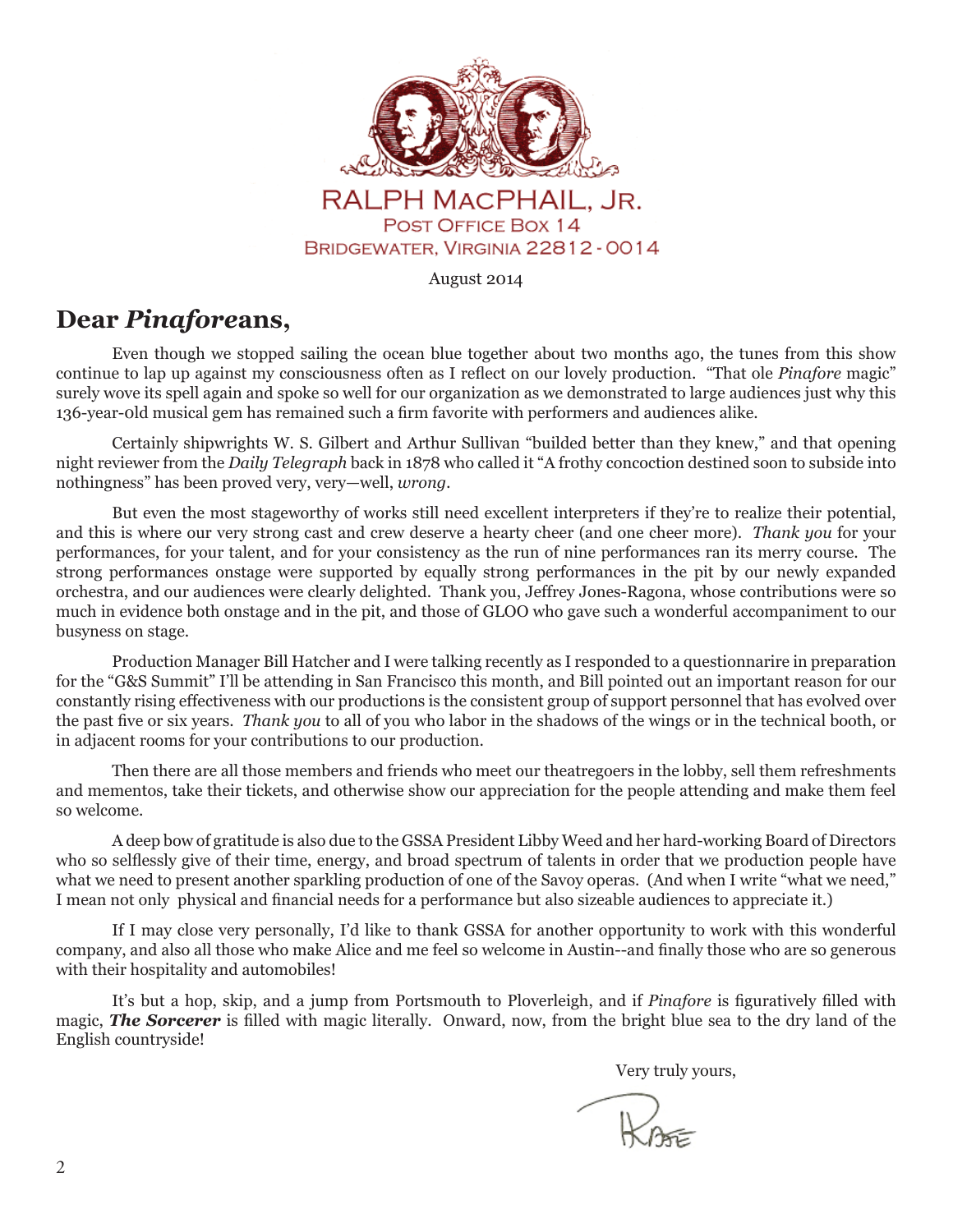

#### RALPH MACPHAIL, JR. POST OFFICE BOX 14 BRIDGEWATER, VIRGINIA 22812 - 0014

August 2014

#### **Dear** *Pinafore***ans,**

Even though we stopped sailing the ocean blue together about two months ago, the tunes from this show continue to lap up against my consciousness often as I reflect on our lovely production. "That ole *Pinafore* magic" surely wove its spell again and spoke so well for our organization as we demonstrated to large audiences just why this 136-year-old musical gem has remained such a firm favorite with performers and audiences alike.

 Certainly shipwrights W. S. Gilbert and Arthur Sullivan "builded better than they knew," and that opening night reviewer from the *Daily Telegraph* back in 1878 who called it "A frothy concoction destined soon to subside into nothingness" has been proved very, very—well, *wrong.*

 But even the most stageworthy of works still need excellent interpreters if they're to realize their potential, and this is where our very strong cast and crew deserve a hearty cheer (and one cheer more). *Thank you* for your performances, for your talent, and for your consistency as the run of nine performances ran its merry course. The strong performances onstage were supported by equally strong performances in the pit by our newly expanded orchestra, and our audiences were clearly delighted. Thank you, Jeffrey Jones-Ragona, whose contributions were so much in evidence both onstage and in the pit, and those of GLOO who gave such a wonderful accompaniment to our busyness on stage.

 Production Manager Bill Hatcher and I were talking recently as I responded to a questionnarire in preparation for the "G&S Summit" I'll be attending in San Francisco this month, and Bill pointed out an important reason for our constantly rising effectiveness with our productions is the consistent group of support personnel that has evolved over the past five or six years. *Thank you to all of you who labor in the shadows of the wings or in the technical booth, or* in adjacent rooms for your contributions to our production.

 Then there are all those members and friends who meet our theatregoers in the lobby, sell them refreshments and mementos, take their tickets, and otherwise show our appreciation for the people attending and make them feel so welcome.

 A deep bow of gratitude is also due to the GSSA President Libby Weed and her hard-working Board of Directors who so selflessly give of their time, energy, and broad spectrum of talents in order that we production people have what we need to present another sparkling production of one of the Savoy operas. (And when I write "what we need," I mean not only physical and financial needs for a performance but also sizeable audiences to appreciate it.)

 If I may close very personally, I'd like to thank GSSA for another opportunity to work with this wonderful company, and also all those who make Alice and me feel so welcome in Austin--and finally those who are so generous with their hospitality and automobiles!

It's but a hop, skip, and a jump from Portsmouth to Ploverleigh, and if *Pinafore* is figuratively filled with magic, **The Sorcerer** is filled with magic literally. Onward, now, from the bright blue sea to the dry land of the English countryside!

Very truly yours,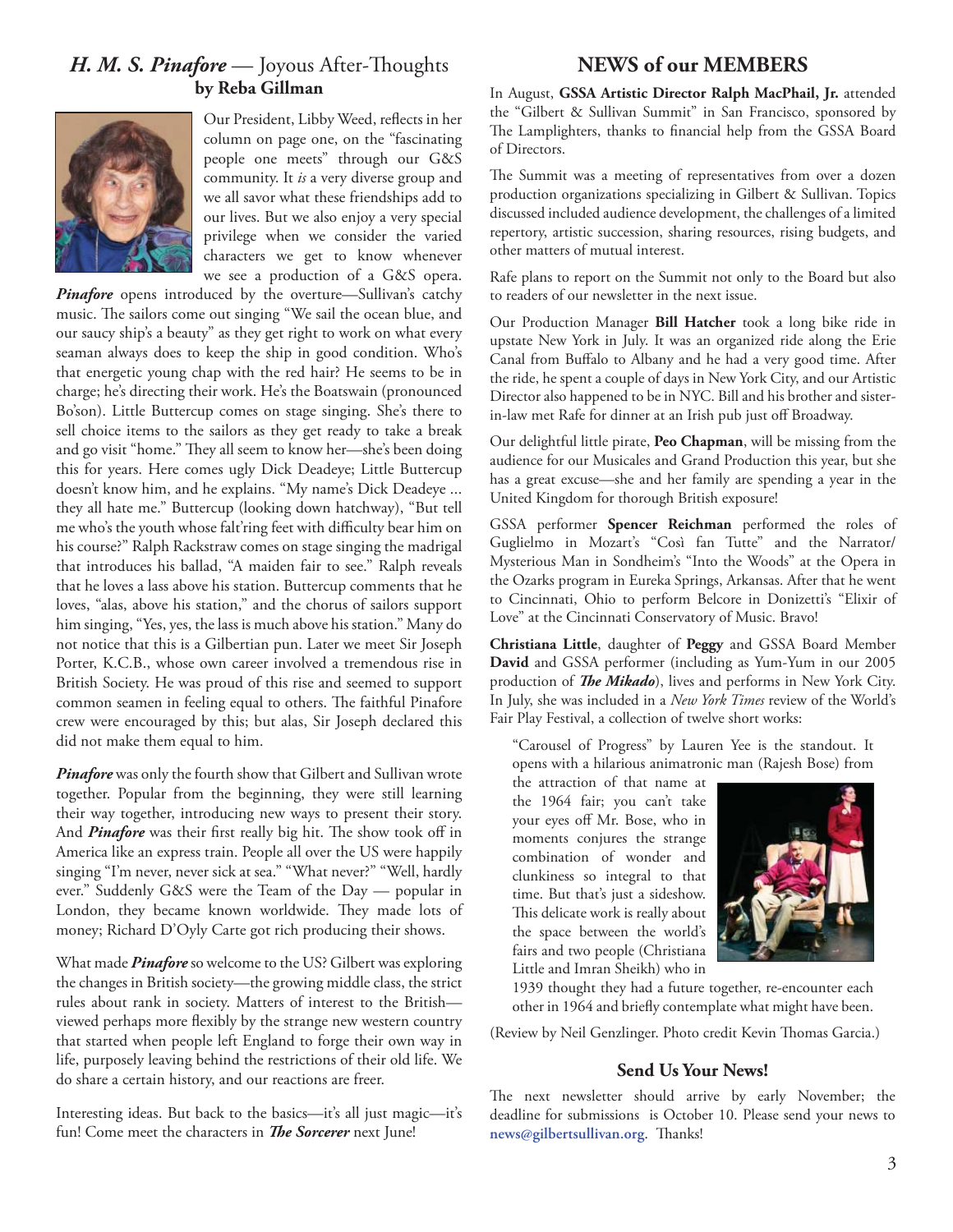#### *H. M. S. Pinafore* — Joyous After-Thoughts **by Reba Gillman**



Our President, Libby Weed, reflects in her column on page one, on the "fascinating people one meets" through our G&S community. It *is* a very diverse group and we all savor what these friendships add to our lives. But we also enjoy a very special privilege when we consider the varied characters we get to know whenever we see a production of a G&S opera.

Pinafore opens introduced by the overture-Sullivan's catchy music. The sailors come out singing "We sail the ocean blue, and our saucy ship's a beauty" as they get right to work on what every seaman always does to keep the ship in good condition. Who's that energetic young chap with the red hair? He seems to be in charge; he's directing their work. He's the Boatswain (pronounced Bo'son). Little Buttercup comes on stage singing. She's there to sell choice items to the sailors as they get ready to take a break and go visit "home." They all seem to know her—she's been doing this for years. Here comes ugly Dick Deadeye; Little Buttercup doesn't know him, and he explains. "My name's Dick Deadeye ... they all hate me." Buttercup (looking down hatchway), "But tell me who's the youth whose falt'ring feet with difficulty bear him on his course?" Ralph Rackstraw comes on stage singing the madrigal that introduces his ballad, "A maiden fair to see." Ralph reveals that he loves a lass above his station. Buttercup comments that he loves, "alas, above his station," and the chorus of sailors support him singing, "Yes, yes, the lass is much above his station." Many do not notice that this is a Gilbertian pun. Later we meet Sir Joseph Porter, K.C.B., whose own career involved a tremendous rise in British Society. He was proud of this rise and seemed to support common seamen in feeling equal to others. The faithful Pinafore crew were encouraged by this; but alas, Sir Joseph declared this did not make them equal to him.

*Pinafore* was only the fourth show that Gilbert and Sullivan wrote together. Popular from the beginning, they were still learning their way together, introducing new ways to present their story. And *Pinafore* was their first really big hit. The show took off in America like an express train. People all over the US were happily singing "I'm never, never sick at sea." "What never?" "Well, hardly ever." Suddenly G&S were the Team of the Day — popular in London, they became known worldwide. They made lots of money; Richard D'Oyly Carte got rich producing their shows.

What made *Pinafore* so welcome to the US? Gilbert was exploring the changes in British society—the growing middle class, the strict rules about rank in society. Matters of interest to the British viewed perhaps more flexibly by the strange new western country that started when people left England to forge their own way in life, purposely leaving behind the restrictions of their old life. We do share a certain history, and our reactions are freer.

Interesting ideas. But back to the basics—it's all just magic—it's fun! Come meet the characters in *The Sorcerer* next June!

#### **NEWS of our MEMBERS**

In August, **GSSA Artistic Director Ralph MacPhail, Jr.** attended the "Gilbert & Sullivan Summit" in San Francisco, sponsored by The Lamplighters, thanks to financial help from the GSSA Board of Directors.

The Summit was a meeting of representatives from over a dozen production organizations specializing in Gilbert & Sullivan. Topics discussed included audience development, the challenges of a limited repertory, artistic succession, sharing resources, rising budgets, and other matters of mutual interest.

Rafe plans to report on the Summit not only to the Board but also to readers of our newsletter in the next issue.

Our Production Manager **Bill Hatcher** took a long bike ride in upstate New York in July. It was an organized ride along the Erie Canal from Buffalo to Albany and he had a very good time. After the ride, he spent a couple of days in New York City, and our Artistic Director also happened to be in NYC. Bill and his brother and sisterin-law met Rafe for dinner at an Irish pub just off Broadway.

Our delightful little pirate, **Peo Chapman**, will be missing from the audience for our Musicales and Grand Production this year, but she has a great excuse—she and her family are spending a year in the United Kingdom for thorough British exposure!

GSSA performer **Spencer Reichman** performed the roles of Guglielmo in Mozart's "Così fan Tutte" and the Narrator/ Mysterious Man in Sondheim's "Into the Woods" at the Opera in the Ozarks program in Eureka Springs, Arkansas. After that he went to Cincinnati, Ohio to perform Belcore in Donizetti's "Elixir of Love" at the Cincinnati Conservatory of Music. Bravo!

**Christiana Little**, daughter of **Peggy** and GSSA Board Member **David** and GSSA performer (including as Yum-Yum in our 2005 production of *The Mikado*), lives and performs in New York City. In July, she was included in a *New York Times* review of the World's Fair Play Festival, a collection of twelve short works:

"Carousel of Progress" by Lauren Yee is the standout. It opens with a hilarious animatronic man (Rajesh Bose) from

the attraction of that name at the 1964 fair; you can't take your eyes off Mr. Bose, who in moments conjures the strange combination of wonder and clunkiness so integral to that time. But that's just a sideshow. This delicate work is really about the space between the world's fairs and two people (Christiana Little and Imran Sheikh) who in



1939 thought they had a future together, re-encounter each other in 1964 and briefly contemplate what might have been.

(Review by Neil Genzlinger. Photo credit Kevin Thomas Garcia.)

#### **Send Us Your News!**

The next newsletter should arrive by early November; the deadline for submissions is October 10. Please send your news to  $news@gilbertsullivan.org.$  Thanks!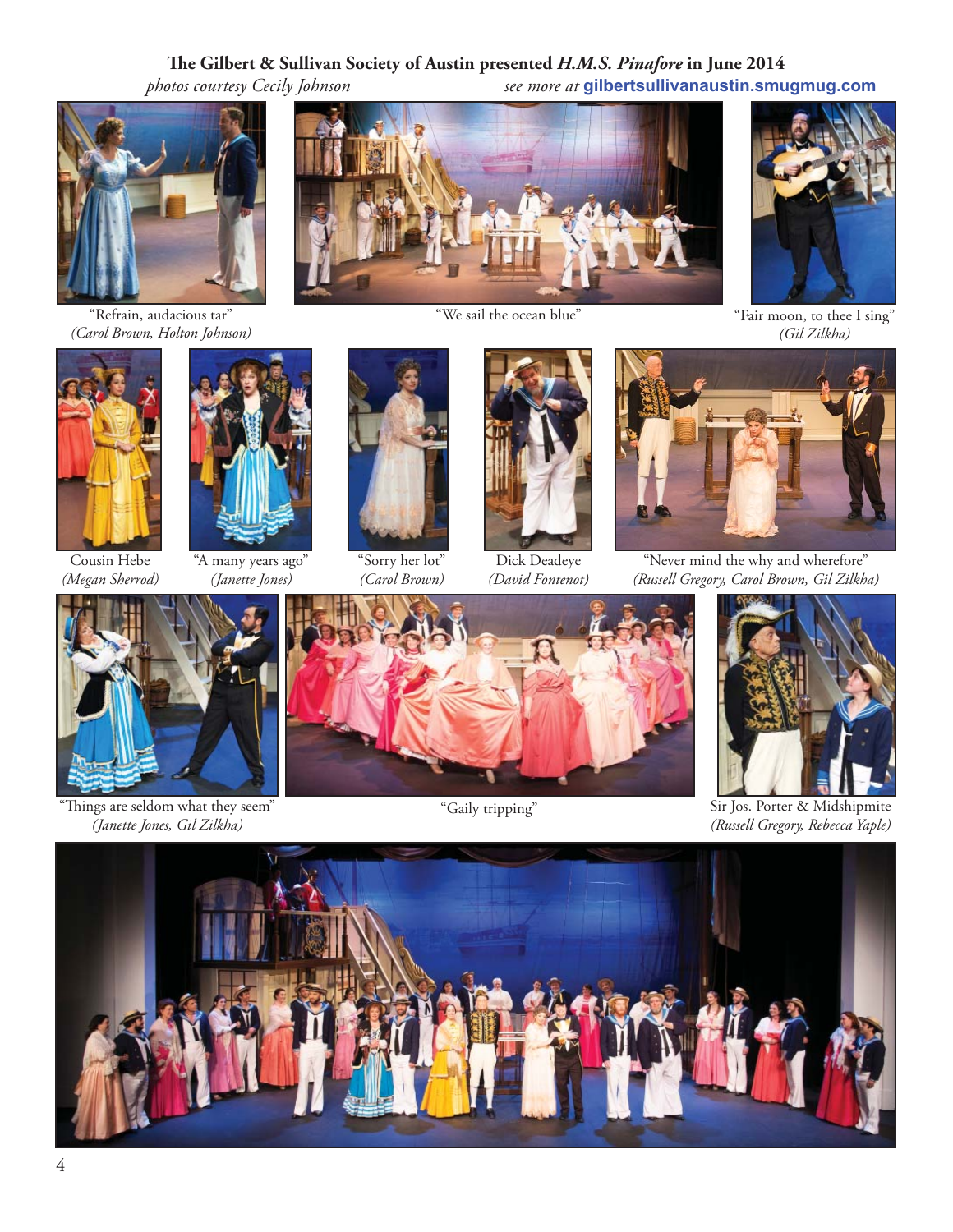#### **! e Gilbert & Sullivan Society of Austin presented** *H.M.S. Pinafore* **in June 2014**

 *photos courtesy Cecily Johnson see more at* **gilbertsullivanaustin.smugmug.com**

"Refrain, audacious tar" *(Carol Brown, Holton Johnson)*



Cousin Hebe *(Megan Sherrod)*



"A many years ago" *(Janette Jones)*



"Sorry her lot" *(Carol Brown)*



*(David Fontenot)*



"Never mind the why and wherefore" *(Russell Gregory, Carol Brown, Gil Zilkha)*



"Things are seldom what they seem" Things are seldom what they seem" *(Janette Jones, Gil Zilkha)*





Sir Jos. Porter & Midshipmite *(Russell Gregory, Rebecca Yaple)*



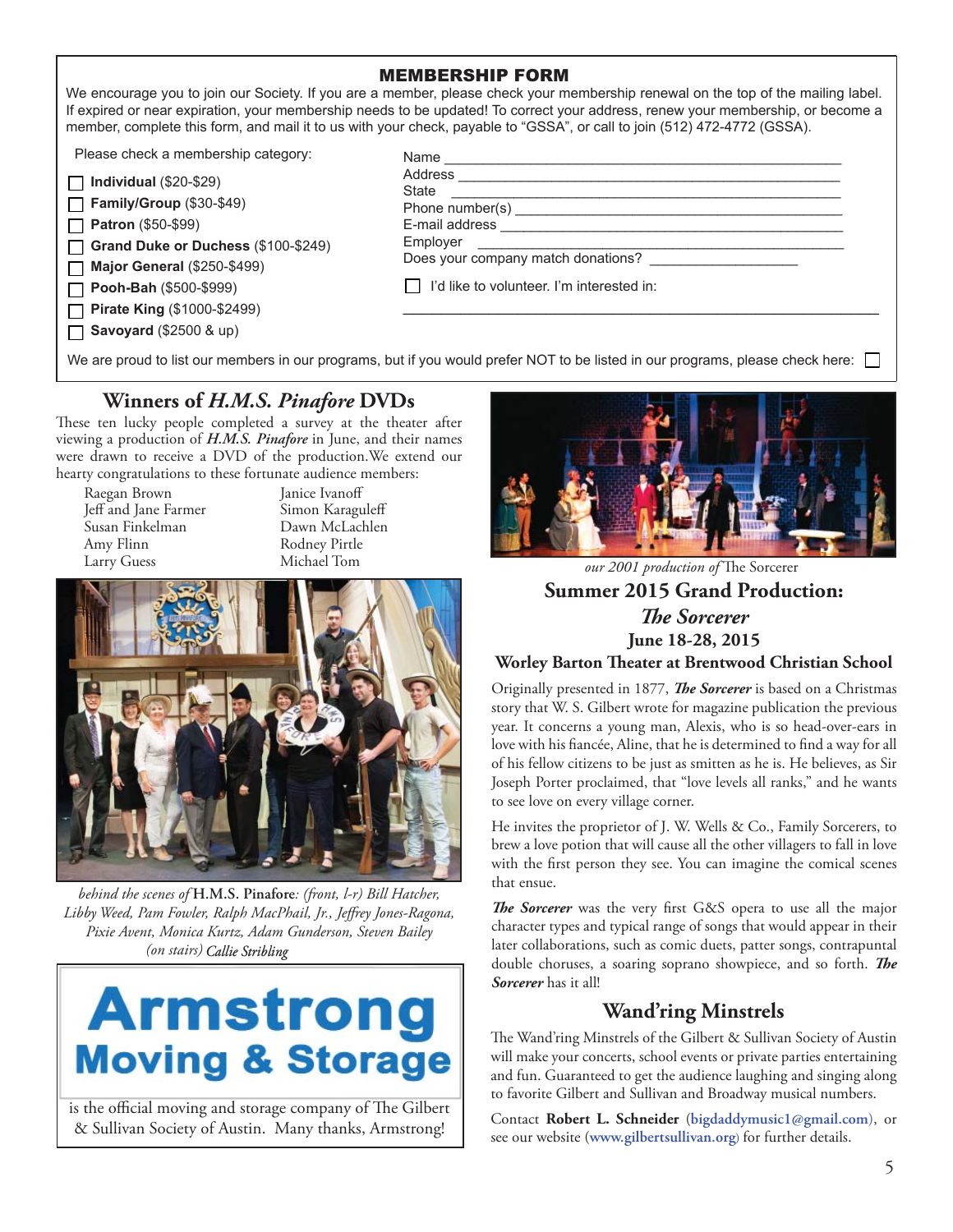|                                                                                                                                                                                                                                 | <b>MEMBERSHIP FORM</b><br>We encourage you to join our Society. If you are a member, please check your membership renewal on the top of the mailing label.<br>If expired or near expiration, your membership needs to be updated! To correct your address, renew your membership, or become a<br>member, complete this form, and mail it to us with your check, payable to "GSSA", or call to join (512) 472-4772 (GSSA). |
|---------------------------------------------------------------------------------------------------------------------------------------------------------------------------------------------------------------------------------|---------------------------------------------------------------------------------------------------------------------------------------------------------------------------------------------------------------------------------------------------------------------------------------------------------------------------------------------------------------------------------------------------------------------------|
| Please check a membership category:<br>Individual $(\$20-\$29)$<br>Family/Group (\$30-\$49)<br><b>Patron</b> (\$50-\$99)<br>Grand Duke or Duchess (\$100-\$249)<br><b>Major General (\$250-\$499)</b><br>Pooh-Bah (\$500-\$999) | Name<br>Address _________<br>State<br>Phone number(s)<br>E-mail address<br>Employer<br>Does your company match donations?<br>I'd like to volunteer. I'm interested in:                                                                                                                                                                                                                                                    |
| Pirate King (\$1000-\$2499)<br><b>Savoyard</b> (\$2500 & up)                                                                                                                                                                    |                                                                                                                                                                                                                                                                                                                                                                                                                           |

We are proud to list our members in our programs, but if you would prefer NOT to be listed in our programs, please check here:

#### **Winners of** *H.M.S. Pinafore* **DVDs**

These ten lucky people completed a survey at the theater after viewing a production of *H.M.S. Pinafore* in June, and their names were drawn to receive a DVD of the production.We extend our hearty congratulations to these fortunate audience members:

Raegan Brown Janice Ivanoff<br>Teff and Jane Farmer Simon Karaguleff Jeff and Jane Farmer<br>Susan Finkelman Susan Finkelman Dawn McLachlen Larry Guess

Rodney Pirtle<br>Michael Tom



*behind the scenes of* **H.M.S. Pinafore***: (front, l-r) Bill Hatcher,*  Libby Weed, Pam Fowler, Ralph MacPhail, Jr., Jeffrey Jones-Ragona, *Pixie Avent, Monica Kurtz, Adam Gunderson, Steven Bailey (on stairs) Callie Stribling* 

## **Armstrong Moving & Storage**

is the official moving and storage company of The Gilbert & Sullivan Society of Austin. Many thanks, Armstrong!



**Summer 2015 Grand Production:** *The Sorcerer* **June 18-28, 2015 Worley Barton ! eater at Brentwood Christian School** *our 2001 production of* The Sorcerer

Originally presented in 1877, *The Sorcerer* is based on a Christmas story that W. S. Gilbert wrote for magazine publication the previous year. It concerns a young man, Alexis, who is so head-over-ears in love with his fiancée, Aline, that he is determined to find a way for all of his fellow citizens to be just as smitten as he is. He believes, as Sir Joseph Porter proclaimed, that "love levels all ranks," and he wants to see love on every village corner.

He invites the proprietor of J. W. Wells & Co., Family Sorcerers, to brew a love potion that will cause all the other villagers to fall in love with the first person they see. You can imagine the comical scenes that ensue.

*The Sorcerer* was the very first G&S opera to use all the major character types and typical range of songs that would appear in their later collaborations, such as comic duets, patter songs, contrapuntal double choruses, a soaring soprano showpiece, and so forth. The *Sorcerer* has it all!

#### **Wand'ring Minstrels**

The Wand'ring Minstrels of the Gilbert & Sullivan Society of Austin will make your concerts, school events or private parties entertaining and fun. Guaranteed to get the audience laughing and singing along to favorite Gilbert and Sullivan and Broadway musical numbers.

Contact **Robert L. Schneider** (**bigdaddymusic1@gmail.com**), or see our website (**www.gilbertsullivan.org**) for further details.